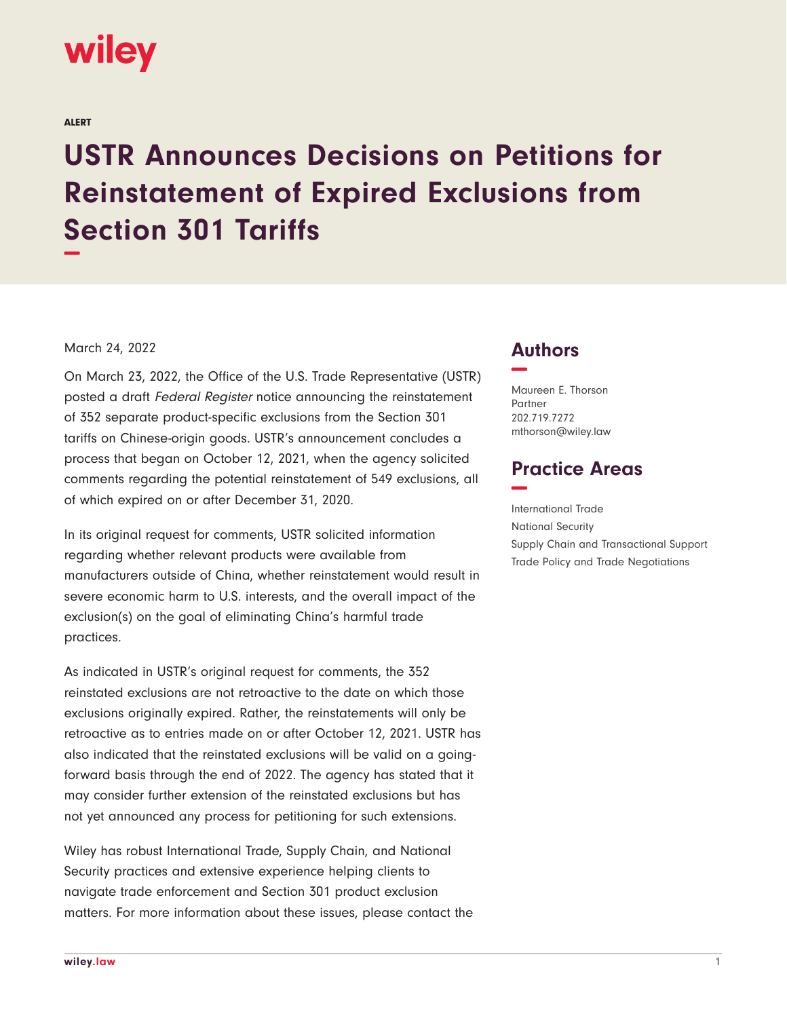

ALERT

## **USTR Announces Decisions on Petitions for Reinstatement of Expired Exclusions from Section 301 Tariffs −**

## March 24, 2022

On March 23, 2022, the Office of the U.S. Trade Representative (USTR) posted a draft Federal Register notice announcing the reinstatement of 352 separate product-specific exclusions from the Section 301 tariffs on Chinese-origin goods. USTR's announcement concludes a process that began on October 12, 2021, when the agency solicited comments regarding the potential reinstatement of 549 exclusions, all of which expired on or after December 31, 2020.

In its original request for comments, USTR solicited information regarding whether relevant products were available from manufacturers outside of China, whether reinstatement would result in severe economic harm to U.S. interests, and the overall impact of the exclusion(s) on the goal of eliminating China's harmful trade practices.

As indicated in USTR's original request for comments, the 352 reinstated exclusions are not retroactive to the date on which those exclusions originally expired. Rather, the reinstatements will only be retroactive as to entries made on or after October 12, 2021. USTR has also indicated that the reinstated exclusions will be valid on a goingforward basis through the end of 2022. The agency has stated that it may consider further extension of the reinstated exclusions but has not yet announced any process for petitioning for such extensions.

Wiley has robust International Trade, Supply Chain, and National Security practices and extensive experience helping clients to navigate trade enforcement and Section 301 product exclusion matters. For more information about these issues, please contact the

## **Authors −**

Maureen E. Thorson Partner 202.719.7272 mthorson@wiley.law

## **Practice Areas −**

International Trade National Security Supply Chain and Transactional Support Trade Policy and Trade Negotiations